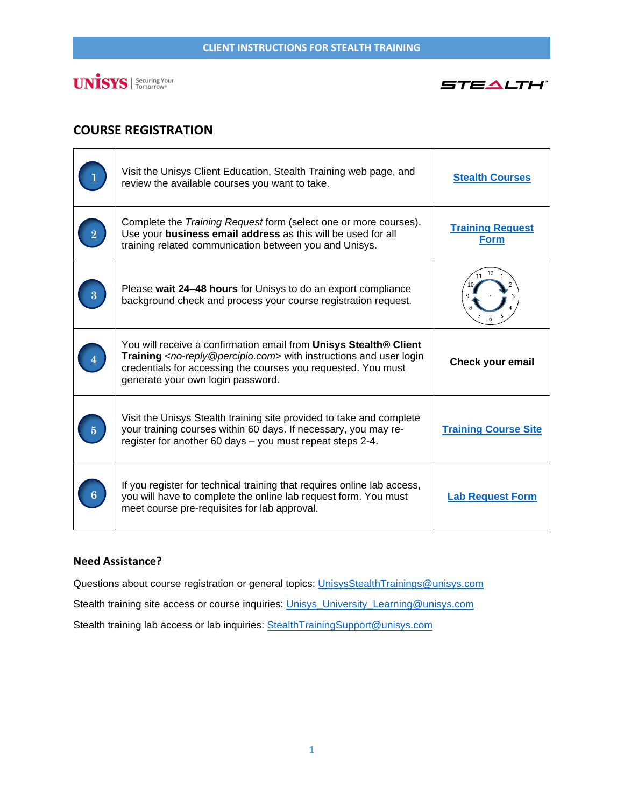



## **COURSE REGISTRATION**

|   | Visit the Unisys Client Education, Stealth Training web page, and<br>review the available courses you want to take.                                                                                                                                                    | <b>Stealth Courses</b>                 |
|---|------------------------------------------------------------------------------------------------------------------------------------------------------------------------------------------------------------------------------------------------------------------------|----------------------------------------|
|   | Complete the Training Request form (select one or more courses).<br>Use your business email address as this will be used for all<br>training related communication between you and Unisys.                                                                             | <b>Training Request</b><br><b>Form</b> |
|   | Please wait 24–48 hours for Unisys to do an export compliance<br>background check and process your course registration request.                                                                                                                                        | 12                                     |
|   | You will receive a confirmation email from Unisys Stealth® Client<br>Training <no-reply@percipio.com> with instructions and user login<br/>credentials for accessing the courses you requested. You must<br/>generate your own login password.</no-reply@percipio.com> | <b>Check your email</b>                |
| 5 | Visit the Unisys Stealth training site provided to take and complete<br>your training courses within 60 days. If necessary, you may re-<br>register for another 60 days - you must repeat steps 2-4.                                                                   | <b>Training Course Site</b>            |
|   | If you register for technical training that requires online lab access,<br>you will have to complete the online lab request form. You must<br>meet course pre-requisites for lab approval.                                                                             | <b>Lab Request Form</b>                |

### **Need Assistance?**

Questions about course registration or general topics: [UnisysStealthTrainings@unisys.com](mailto:UnisysStealthTrainin@unisys.com)

Stealth training site access or course inquiries: [Unisys\\_University\\_Learning@unisys.com](mailto:Unisys_University_Learning@unisys.com)

Stealth training lab access or lab inquiries: Stealth TrainingSupport@unisys.com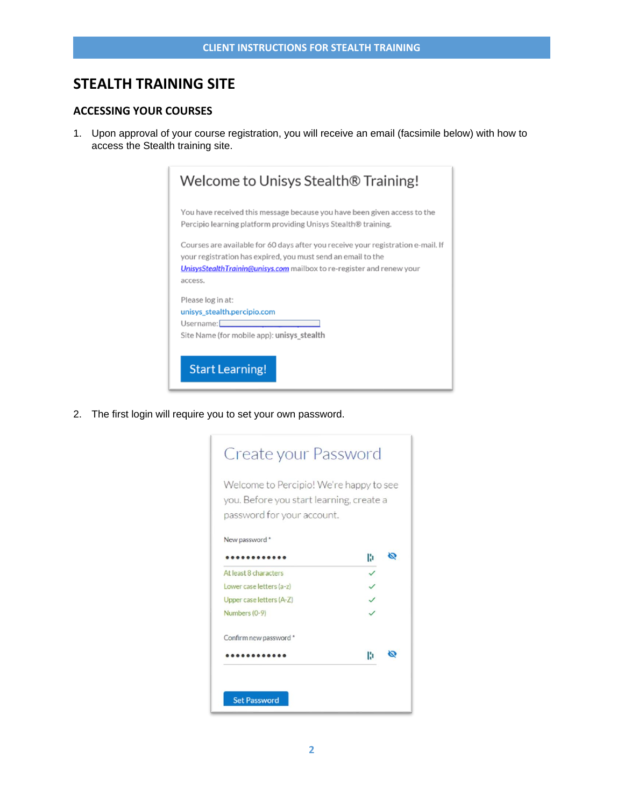## **STEALTH TRAINING SITE**

### **ACCESSING YOUR COURSES**

1. Upon approval of your course registration, you will receive an email (facsimile below) with how to access the Stealth training site.

| You have received this message because you have been given access to the<br>Percipio learning platform providing Unisys Stealth® training.<br>Courses are available for 60 days after you receive your registration e-mail. If<br>your registration has expired, you must send an email to the<br>UnisysStealthTrainin@unisys.com mailbox to re-register and renew your |  |
|-------------------------------------------------------------------------------------------------------------------------------------------------------------------------------------------------------------------------------------------------------------------------------------------------------------------------------------------------------------------------|--|
|                                                                                                                                                                                                                                                                                                                                                                         |  |
|                                                                                                                                                                                                                                                                                                                                                                         |  |
| access.                                                                                                                                                                                                                                                                                                                                                                 |  |
| Please log in at:                                                                                                                                                                                                                                                                                                                                                       |  |
| unisys_stealth.percipio.com                                                                                                                                                                                                                                                                                                                                             |  |
| Username:                                                                                                                                                                                                                                                                                                                                                               |  |
| Site Name (for mobile app): unisys_stealth                                                                                                                                                                                                                                                                                                                              |  |

2. The first login will require you to set your own password.

| Welcome to Percipio! We're happy to see<br>you. Before you start learning, create a<br>password for your account. |   |  |
|-------------------------------------------------------------------------------------------------------------------|---|--|
| New password *                                                                                                    |   |  |
|                                                                                                                   | H |  |
| At least 8 characters                                                                                             |   |  |
| Lower case letters (a-z)                                                                                          |   |  |
| Upper case letters (A-Z)                                                                                          |   |  |
| Numbers (0-9)                                                                                                     |   |  |
| Confirm new password *                                                                                            |   |  |
|                                                                                                                   | Ю |  |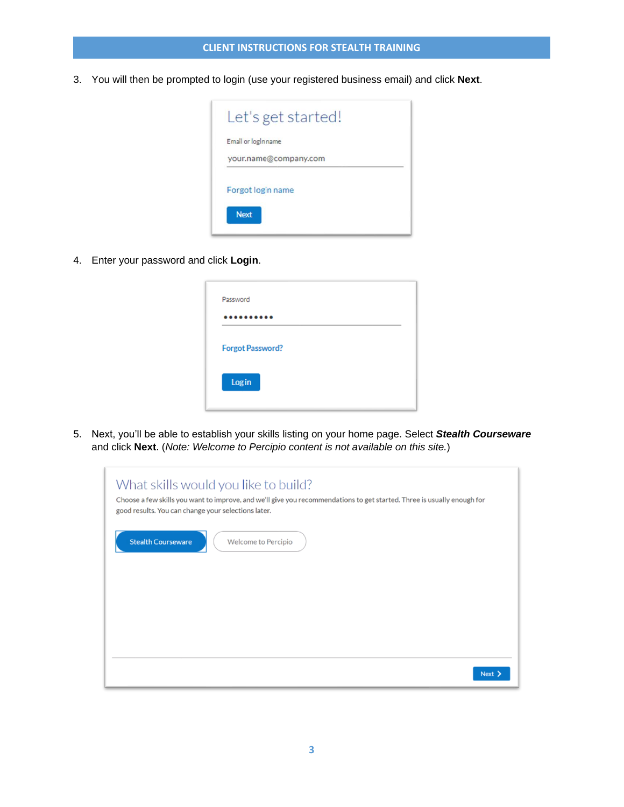3. You will then be prompted to login (use your registered business email) and click **Next**.



4. Enter your password and click **Login**.

| <br>.<br>$\sim$ $\sim$  |  |
|-------------------------|--|
|                         |  |
| <b>Forgot Password?</b> |  |
|                         |  |
| Login                   |  |

5. Next, you'll be able to establish your skills listing on your home page. Select *Stealth Courseware* and click **Next**. (*Note: Welcome to Percipio content is not available on this site.*)

| What skills would you like to build?<br>Choose a few skills you want to improve, and we'll give you recommendations to get started. Three is usually enough for<br>good results. You can change your selections later. |
|------------------------------------------------------------------------------------------------------------------------------------------------------------------------------------------------------------------------|
| <b>Stealth Courseware</b><br>Welcome to Percipio                                                                                                                                                                       |
|                                                                                                                                                                                                                        |
| Next >                                                                                                                                                                                                                 |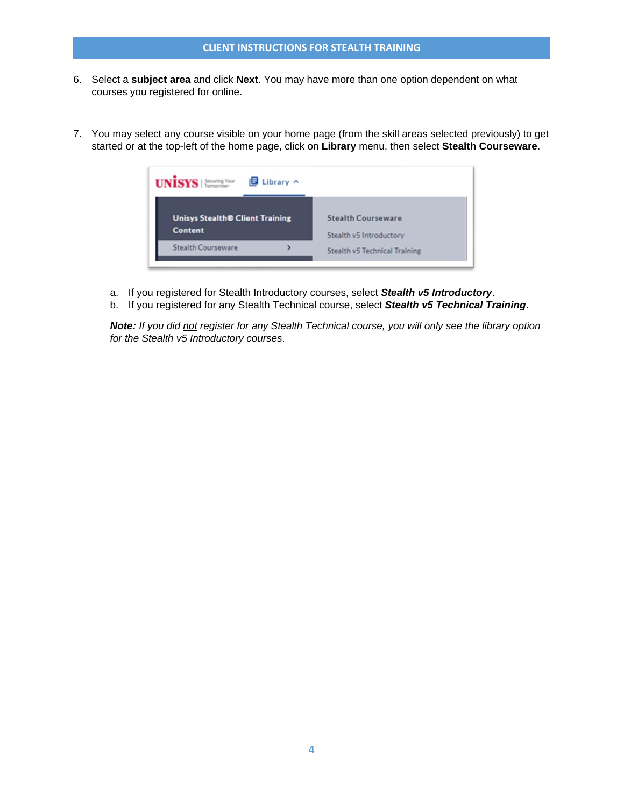- 6. Select a **subject area** and click **Next**. You may have more than one option dependent on what courses you registered for online.
- 7. You may select any course visible on your home page (from the skill areas selected previously) to get started or at the top-left of the home page, click on **Library** menu, then select **Stealth Courseware**.



- a. If you registered for Stealth Introductory courses, select *Stealth v5 Introductory*.
- b. If you registered for any Stealth Technical course, select *Stealth v5 Technical Training*.

*Note: If you did not register for any Stealth Technical course, you will only see the library option for the Stealth v5 Introductory courses*.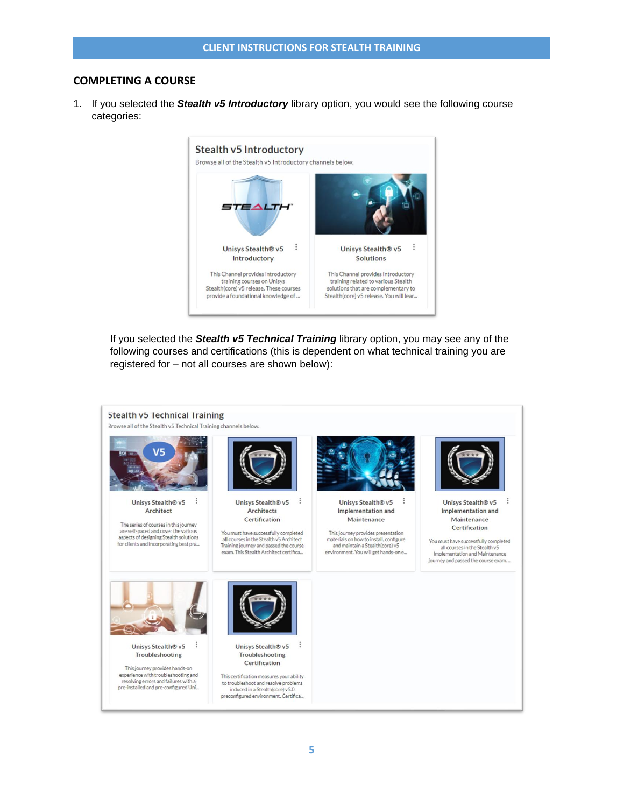### **COMPLETING A COURSE**

1. If you selected the *Stealth v5 Introductory* library option, you would see the following course categories:



If you selected the *Stealth v5 Technical Training* library option, you may see any of the following courses and certifications (this is dependent on what technical training you are registered for – not all courses are shown below):

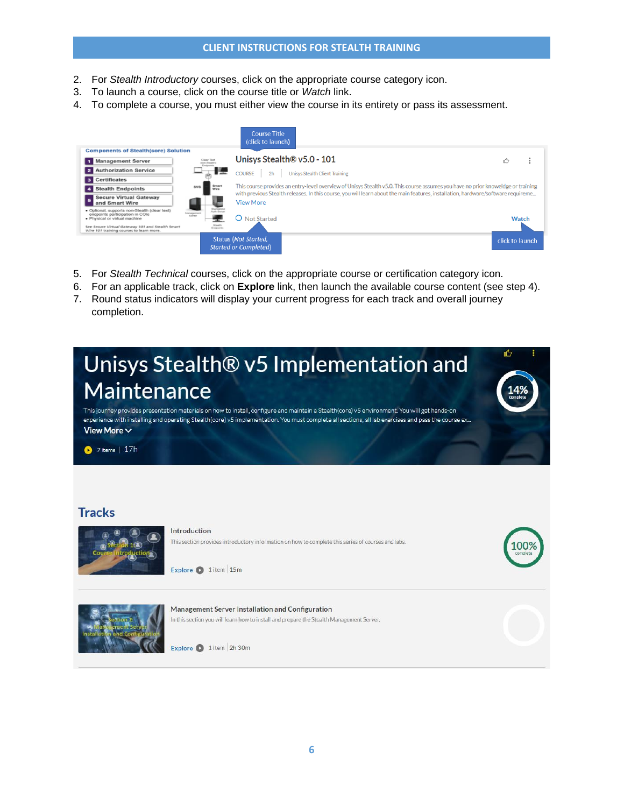### **CLIENT INSTRUCTIONS FOR STEALTH TRAINING**

- 2. For *Stealth Introductory* courses, click on the appropriate course category icon.
- 3. To launch a course, click on the course title or *Watch* link.
- 4. To complete a course, you must either view the course in its entirety or pass its assessment.

|                                                                                                                   |                                                     | <b>Course Title</b><br>(click to launch)                                                                                                                                                                                                                                               |                                |                 |  |
|-------------------------------------------------------------------------------------------------------------------|-----------------------------------------------------|----------------------------------------------------------------------------------------------------------------------------------------------------------------------------------------------------------------------------------------------------------------------------------------|--------------------------------|-----------------|--|
| <b>Components of Stealth(core) Solution</b>                                                                       |                                                     |                                                                                                                                                                                                                                                                                        |                                |                 |  |
| <b>Management Server</b>                                                                                          | Clear Text<br>Endpoints                             |                                                                                                                                                                                                                                                                                        | Unisys Stealth® v5.0 - 101     | Ď               |  |
| <b>Authorization Service</b>                                                                                      |                                                     | <b>COURSE</b><br>2 <sub>h</sub>                                                                                                                                                                                                                                                        | Unisys Stealth Client Training |                 |  |
| Certificates                                                                                                      |                                                     |                                                                                                                                                                                                                                                                                        |                                |                 |  |
| <b>Stealth Endpoints</b>                                                                                          | <b>SVG</b>                                          | This course provides an entry-level overview of Unisys Stealth v5.0. This course assumes you have no prior knoweldge or training<br>Smart<br>Wire<br>with previous Stealth releases. In this course, you will learn about the main features, installation, hardware/software requireme |                                |                 |  |
| <b>Secure Virtual Gateway</b><br>and Smart Wire                                                                   |                                                     | <b>View More</b>                                                                                                                                                                                                                                                                       |                                |                 |  |
| · Optional, supports non-Stealth (clear text)<br>endpoints participation in COIs<br>· Physical or virtual machine | Tuenstualcess<br>Auth Server<br>Management<br>Sener | Not Started                                                                                                                                                                                                                                                                            |                                | Watch           |  |
| See Secure Virtual Gateway 101 and Stealth Smart<br>Wire 101 training courses to learn more.                      | Sheatth<br>Endpoints                                |                                                                                                                                                                                                                                                                                        |                                |                 |  |
|                                                                                                                   |                                                     | <b>Status (Not Started,</b><br><b>Started or Completed</b>                                                                                                                                                                                                                             |                                | click to launch |  |

- 5. For *Stealth Technical* courses, click on the appropriate course or certification category icon.
- 6. For an applicable track, click on **Explore** link, then launch the available course content (see step 4).
- 7. Round status indicators will display your current progress for each track and overall journey completion.

# 的 Unisys Stealth® v5 Implementation and Maintenance

This journey provides presentation materials on how to install, configure and maintain a Stealth(core) v5 environment. You will get hands-on experience with installing and operating Stealth(core) v5 implementation. You must complete all sections, all lab exercises and pass the course ex. View More  $\vee$ 

 $\bullet$  7 items | 17h

### **Tracks**



### Introduction

This section provides introductory information on how to complete this series of courses and labs.

Explore 2 1 item 15m



#### Management Server Installation and Configuration In this section you will learn how to install and prepare the Stealth Management Server.

Explore 2 1 item 2h 30m